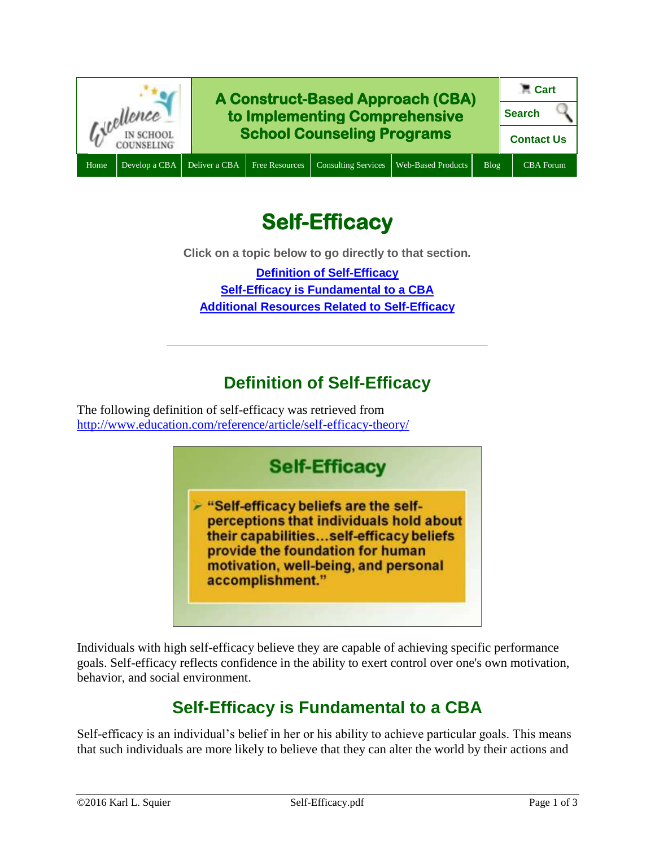

# **Self-Efficacy**

**Click on a topic below to go directly to that section.**

**[Definition of Self-Efficacy](#page-0-0) [Self-Efficacy is Fundamental to a CBA](#page-0-1) [Additional Resources Related to Self-Efficacy](#page-1-0)**

# **Definition of Self-Efficacy**

**\_\_\_\_\_\_\_\_\_\_\_\_\_\_\_\_\_\_\_\_\_\_\_\_\_\_\_\_\_\_\_\_\_\_\_\_\_\_\_\_\_\_\_\_\_**

<span id="page-0-0"></span>The following definition of self-efficacy was retrieved from <http://www.education.com/reference/article/self-efficacy-theory/>



Individuals with high self-efficacy believe they are capable of achieving specific performance goals. Self-efficacy reflects confidence in the ability to exert control over one's own motivation, behavior, and social environment.

## **Self-Efficacy is Fundamental to a CBA**

<span id="page-0-1"></span>Self-efficacy is an individual's belief in her or his ability to achieve particular goals. This means that such individuals are more likely to believe that they can alter the world by their actions and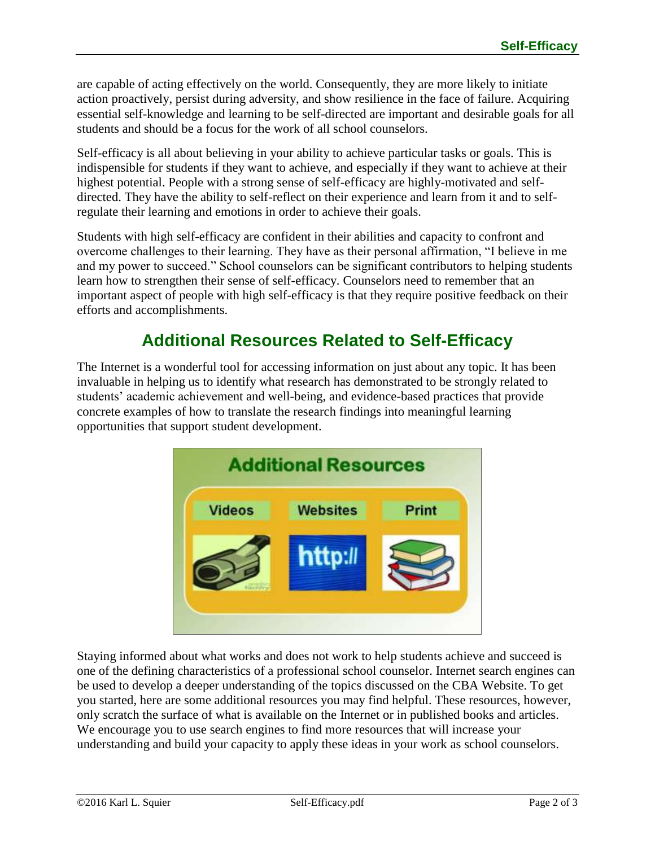are capable of acting effectively on the world. Consequently, they are more likely to initiate action proactively, persist during adversity, and show resilience in the face of failure. Acquiring essential self-knowledge and learning to be self-directed are important and desirable goals for all students and should be a focus for the work of all school counselors.

Self-efficacy is all about believing in your ability to achieve particular tasks or goals. This is indispensible for students if they want to achieve, and especially if they want to achieve at their highest potential. People with a strong sense of self-efficacy are highly-motivated and selfdirected. They have the ability to self-reflect on their experience and learn from it and to selfregulate their learning and emotions in order to achieve their goals.

Students with high self-efficacy are confident in their abilities and capacity to confront and overcome challenges to their learning. They have as their personal affirmation, "I believe in me and my power to succeed." School counselors can be significant contributors to helping students learn how to strengthen their sense of self-efficacy. Counselors need to remember that an important aspect of people with high self-efficacy is that they require positive feedback on their efforts and accomplishments.

## **Additional Resources Related to Self-Efficacy**

<span id="page-1-0"></span>The Internet is a wonderful tool for accessing information on just about any topic. It has been invaluable in helping us to identify what research has demonstrated to be strongly related to students' academic achievement and well-being, and evidence-based practices that provide concrete examples of how to translate the research findings into meaningful learning opportunities that support student development.



Staying informed about what works and does not work to help students achieve and succeed is one of the defining characteristics of a professional school counselor. Internet search engines can be used to develop a deeper understanding of the topics discussed on the CBA Website. To get you started, here are some additional resources you may find helpful. These resources, however, only scratch the surface of what is available on the Internet or in published books and articles. We encourage you to use search engines to find more resources that will increase your understanding and build your capacity to apply these ideas in your work as school counselors.